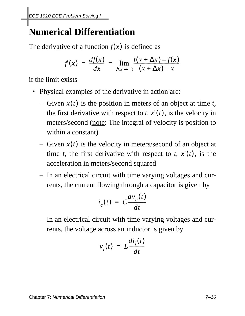## **Numerical Differentiation**

The derivative of a function  $f(x)$  is defined as

$$
f(x) = \frac{df(x)}{dx} = \lim_{\Delta x \to 0} \frac{f(x + \Delta x) - f(x)}{(x + \Delta x) - x}
$$

if the limit exists

- Physical examples of the derivative in action are:
	- $-$  Given  $x(t)$  is the position in meters of an object at time *t*, the first derivative with respect to  $t$ ,  $x'(t)$ , is the velocity in meters/second (note: The integral of velocity is position to within a constant)
	- $-$  Given  $x(t)$  is the velocity in meters/second of an object at time *t*, the first derivative with respect to *t*,  $x'(t)$ , is the acceleration in meters/second squared
	- In an electrical circuit with time varying voltages and currents, the current flowing through a capacitor is given by

$$
i_c(t) = C \frac{dv_c(t)}{dt}
$$

– In an electrical circuit with time varying voltages and currents, the voltage across an inductor is given by

$$
v_l(t) = L \frac{di_l(t)}{dt}
$$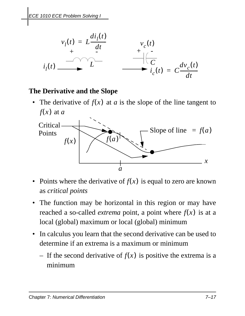

## **The Derivative and the Slope**

• The derivative of  $f(x)$  at  $a$  is the slope of the line tangent to  $f(x)$  at *a* 



- Points where the derivative of  $f(x)$  is equal to zero are known as *critical points*
- The function may be horizontal in this region or may have reached a so-called *extrema* point, a point where  $f(x)$  is at a local (global) maximum or local (global) minimum
- In calculus you learn that the second derivative can be used to determine if an extrema is a maximum or minimum
	- $-$  If the second derivative of  $f(x)$  is positive the extrema is a minimum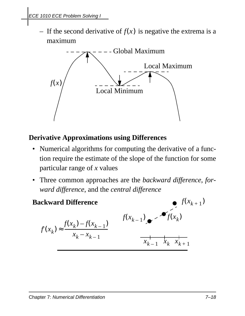$\overline{\phantom{a}}$  If the second derivative of  $f(x)$  is negative the extrema is a maximum



## **Derivative Approximations using Differences**

- Numerical algorithms for computing the derivative of a function require the estimate of the slope of the function for some particular range of *x* values
- Three common approaches are the *backward difference*, *forward difference*, and the *central difference*

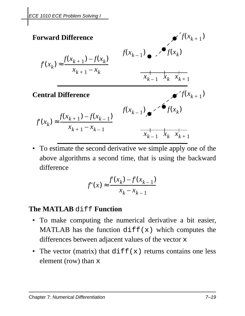

• To estimate the second derivative we simple apply one of the above algorithms a second time, that is using the backward difference

$$
f'(x) \approx \frac{f(x_k) - f(x_{k-1})}{x_k - x_{k-1}}
$$

## **The MATLAB** diff **Function**

- To make computing the numerical derivative a bit easier, MATLAB has the function  $diff(x)$  which computes the differences between adjacent values of the vector x
- The vector (matrix) that  $diff(x)$  returns contains one less element (row) than x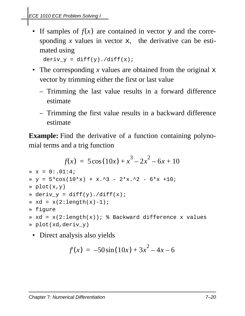• If samples of  $f(x)$  are contained in vector  $y$  and the corresponding *x* values in vector x, the derivative can be estimated using

```
deriv_y = diff(y)./diff(x);
```
- The corresponding *x* values are obtained from the original x vector by trimming either the first or last value
	- Trimming the last value results in a forward difference estimate
	- Trimming the first value results in a backward difference estimate

**Example:** Find the derivative of a function containing polynomial terms and a trig function

```
x = 0:01:4;\text{y} = 5* \cos(10* \text{x}) + \text{x}.^3 - 2*x.^2 - 6*x +10;
» plot(x,y)
\ast deriv_y = diff(y)./diff(x);
\ast xd = x(2:\text{length}(x)-1);» figure
\ast xd = x(2:length(x)); \ast Backward difference x values
» plot(xd,deriv_y)
             f(x) = 5\cos(10x) + x^3 - 2x^2 - 6x + 10
```
• Direct analysis also yields

$$
f(x) = -50\sin(10x) + 3x^2 - 4x - 6
$$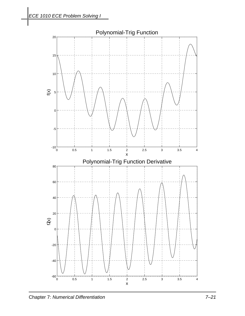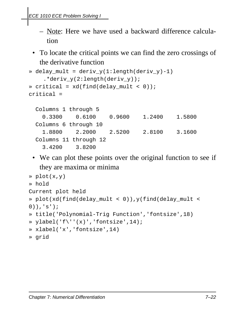- Note: Here we have used a backward difference calculation
- To locate the critical points we can find the zero crossings of the derivative function

```
\ast delay_mult = deriv_y(1:length(deriv_y)-1)
    .*deriv_y(2:length(deriv_y));
\sqrt{x} critical = xd(find(delay_mult < 0));
critical =
```

```
 Columns 1 through 5 
   0.3300 0.6100 0.9600 1.2400 1.5800 
 Columns 6 through 10
   1.8800 2.2000 2.5200 2.8100 3.1600
 Columns 11 through 12 
   3.4200 3.8200
```
• We can plot these points over the original function to see if they are maxima or minima

```
» plot(x,y)
» hold
Current plot held
» plot(xd(find(delay_mult < 0)),y(find(delay_mult < 
0)), 's');
» title('Polynomial-Trig Function','fontsize',18)
\ast ylabel('f\''(x)','fontsize',14);
» xlabel('x','fontsize',14)
» grid
```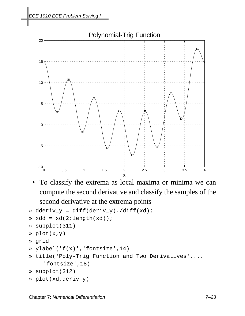

• To classify the extrema as local maxima or minima we can compute the second derivative and classify the samples of the second derivative at the extrema points

```
» dderiv_y = diff(deriv_y)./diff(xd);
\ast xdd = xd(2:length(xd));
» subplot(311)
» plot(x,y)
» grid
» ylabel('f(x)','fontsize',14)
» title('Poly-Trig Function and Two Derivatives',...
    'fontsize',18)
» subplot(312)
» plot(xd,deriv_y)
```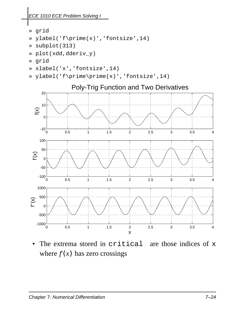*ECE 1010 ECE Problem Solving I*

- » grid
- » ylabel('f\prime(x)','fontsize',14)
- » subplot(313)
- » plot(xdd,dderiv\_y)
- » grid
- » xlabel('x','fontsize',14)
- » ylabel('f\prime\prime(x)','fontsize',14)



• The extrema stored in critical are those indices of x where  $f(x)$  has zero crossings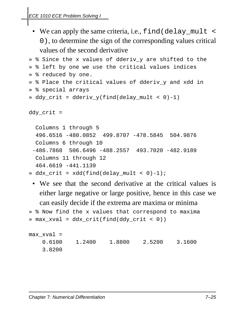• We can apply the same criteria, i.e., find (delay\_mult < 0), to determine the sign of the corresponding values critical values of the second derivative

```
» % Since the x values of dderiv y are shifted to the
» % left by one we use the critical values indices
» % reduced by one.
» % Place the critical values of dderiv_y and xdd in
» % special arrays
\ast ddy_crit = dderiv_y(find(delay_mult < 0)-1)
ddy_crit =
   Columns 1 through 5 
   496.6516 -480.0852 499.8707 -478.5845 504.9876 
   Columns 6 through 10
  -486.7868 506.6496 -488.2557 493.7020 -482.9189 
   Columns 11 through 12
   464.6619 -441.1139
```

```
\ast ddx_crit = xdd(find(delay_mult < 0)-1);
```
• We see that the second derivative at the critical values is either large negative or large positive, hence in this case we can easily decide if the extrema are maxima or minima

```
» % Now find the x values that correspond to maxima
» max_xval = ddx_crit(find(ddy_crit < 0))
```

```
max_xval =
    0.6100 1.2400 1.8800 2.5200 3.1600 
    3.8200
```